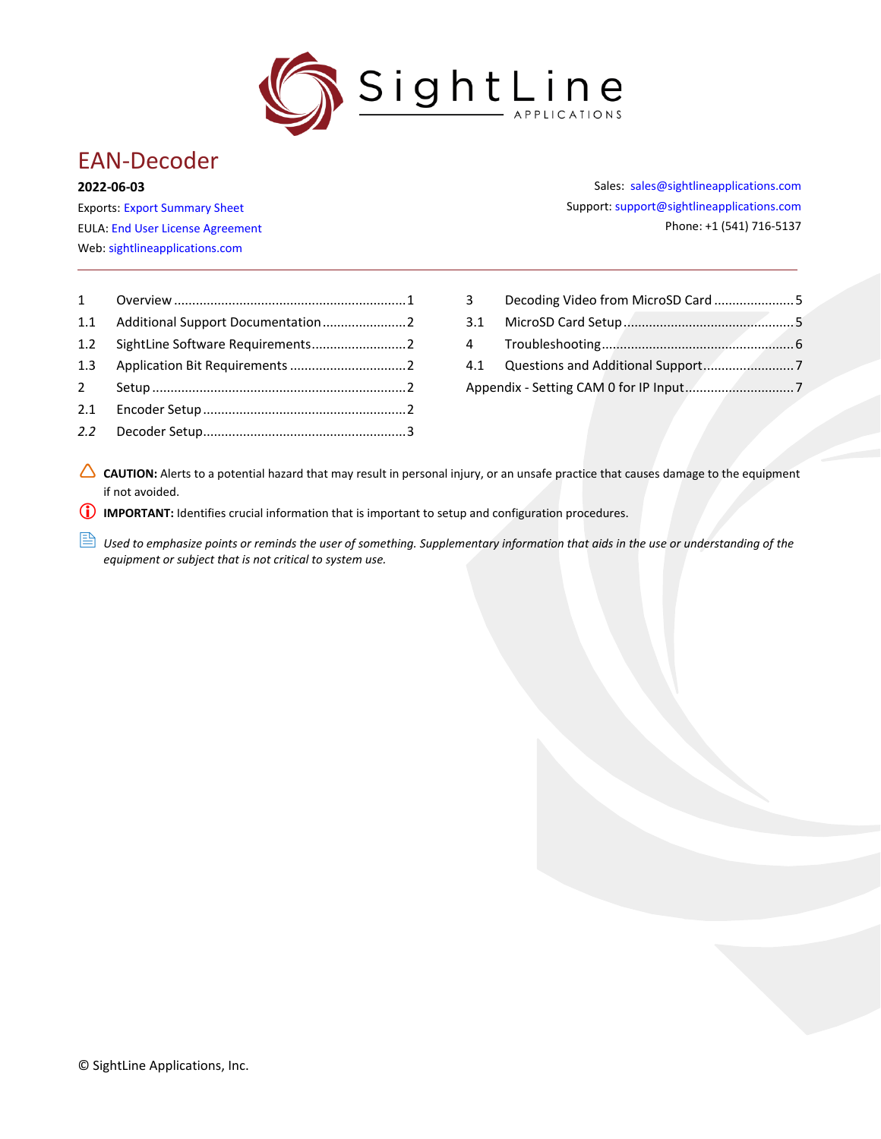

# EAN-Decoder

#### **2022-06-03**

Exports: [Export Summary Sheet](https://sightlineapplications.com/wp-content/uploads/Exports-Summary.pdf) EULA[: End User License Agreement](https://sightlineapplications.com/wp-content/uploads/SightLine-Product-License.pdf) Web[: sightlineapplications.com](https://sightlineapplications.com/)

Sales: [sales@sightlineapplications.com](mailto:sales@sightlineapplications.com) Support[: support@sightlineapplications.com](mailto:support@sightlineapplications.com) Phone: +1 (541) 716-5137

| $1 \quad \blacksquare$ |  |
|------------------------|--|
| 1.1                    |  |
| 1.2                    |  |
| 1.3                    |  |
| $2^{\circ}$            |  |
| 2.1                    |  |
| 2.2                    |  |
|                        |  |

| 3 Decoding Video from MicroSD Card5 |  |
|-------------------------------------|--|
|                                     |  |
|                                     |  |
|                                     |  |
|                                     |  |
|                                     |  |

CAUTION: Alerts to a potential hazard that may result in personal injury, or an unsafe practice that causes damage to the equipment if not avoided.

**I** IMPORTANT: Identifies crucial information that is important to setup and configuration procedures.

**ED** Used to emphasize points or reminds the user of something. Supplementary information that aids in the use or understanding of the *equipment or subject that is not critical to system use.*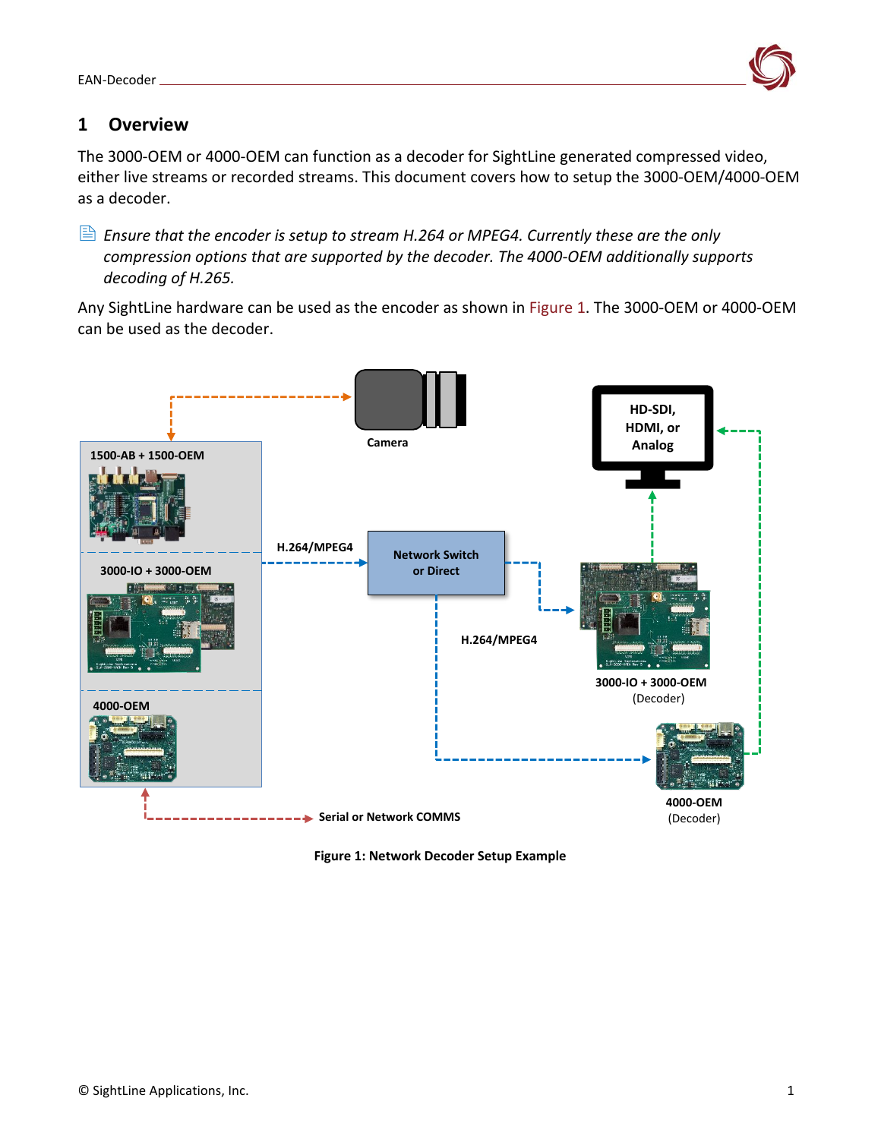

## <span id="page-1-0"></span>**1 Overview**

The 3000-OEM or 4000-OEM can function as a decoder for SightLine generated compressed video, either live streams or recorded streams. This document covers how to setup the 3000-OEM/4000-OEM as a decoder.

 *Ensure that the encoder is setup to stream H.264 or MPEG4. Currently these are the only compression options that are supported by the decoder. The 4000-OEM additionally supports decoding of H.265.*

Any SightLine hardware can be used as the encoder as shown in Figure 1. The 3000-OEM or 4000-OEM can be used as the decoder.



**Figure 1: Network Decoder Setup Example**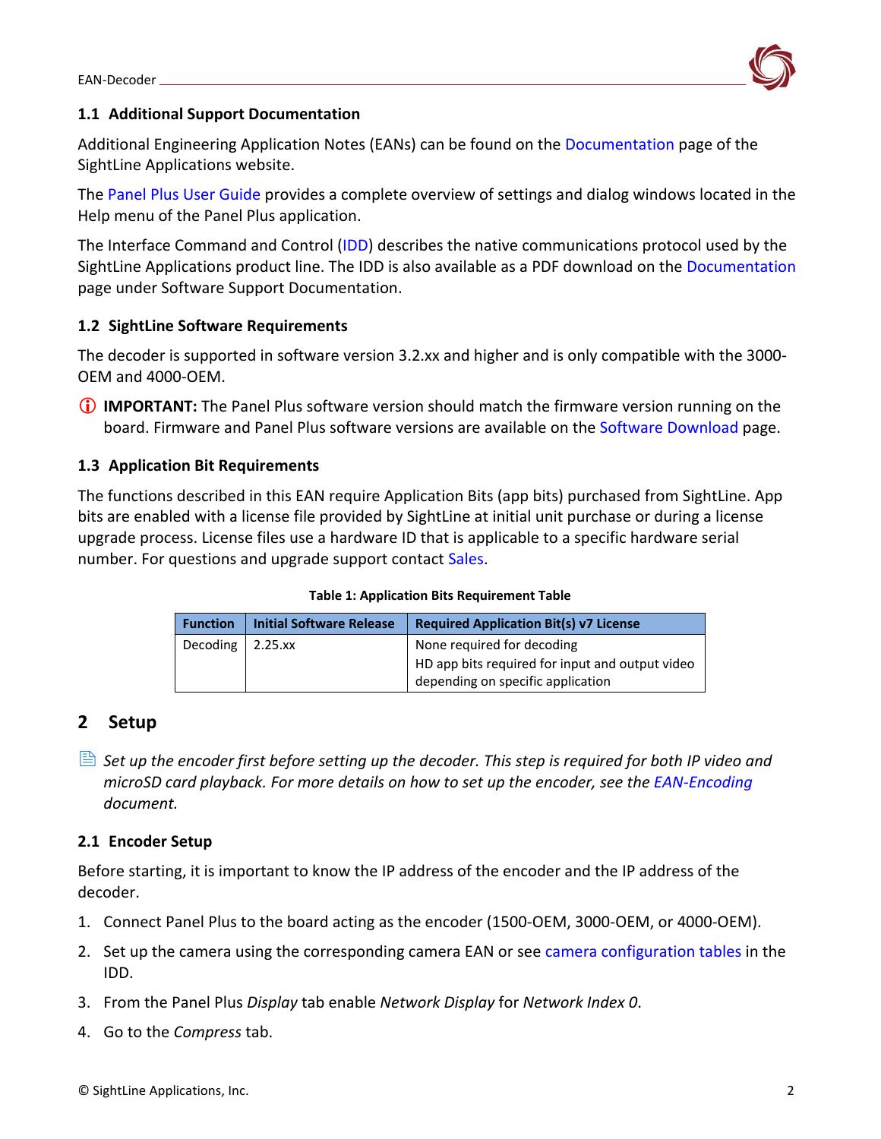

#### <span id="page-2-0"></span>**1.1 Additional Support Documentation**

Additional Engineering Application Notes (EANs) can be found on the [Documentation](https://sightlineapplications.com/documentation/) page of the SightLine Applications website.

The [Panel Plus User Guide](https://sightlineapplications.com/downloads/) provides a complete overview of settings and dialog windows located in the Help menu of the Panel Plus application.

The Interface Command and Control [\(IDD\)](https://sightlineapplications.com/releases/IDD/current/) describes the native communications protocol used by the SightLine Applications product line. The IDD is also available as a PDF download on the [Documentation](https://sightlineapplications.com/documentation/) page under Software Support Documentation.

### <span id="page-2-1"></span>**1.2 SightLine Software Requirements**

The decoder is supported in software version 3.2.xx and higher and is only compatible with the 3000- OEM and 4000-OEM.

 **IMPORTANT:** The Panel Plus software version should match the firmware version running on the board. Firmware and Panel Plus software versions are available on the [Software Download](https://sightlineapplications.com/downloads/) page.

### <span id="page-2-2"></span>**1.3 Application Bit Requirements**

The functions described in this EAN require Application Bits (app bits) purchased from SightLine. App bits are enabled with a license file provided by SightLine at initial unit purchase or during a license upgrade process. License files use a hardware ID that is applicable to a specific hardware serial number. For questions and upgrade support contact [Sales.](mailto:sales@sightlineapplications.com)

#### **Table 1: Application Bits Requirement Table**

| <b>Function</b>       | <b>Initial Software Release</b> | <b>Required Application Bit(s) v7 License</b>   |
|-----------------------|---------------------------------|-------------------------------------------------|
| Decoding   $2.25$ .xx |                                 | None required for decoding                      |
|                       |                                 | HD app bits required for input and output video |
|                       |                                 | depending on specific application               |

### <span id="page-2-3"></span>**2 Setup**

 *Set up the encoder first before setting up the decoder. This step is required for both IP video and microSD card playback. For more details on how to set up the encoder, see the [EAN-Encoding](http://sightlineapplications.com/wp-content/uploads/EAN-Encoding.pdf) document.*

#### <span id="page-2-4"></span>**2.1 Encoder Setup**

Before starting, it is important to know the IP address of the encoder and the IP address of the decoder.

- 1. Connect Panel Plus to the board acting as the encoder (1500-OEM, 3000-OEM, or 4000-OEM).
- 2. Set up the camera using the corresponding camera EAN or see [camera configuration tables](https://sightlineapplications.com/releases/IDD/current/camera_compatibility.html) in the IDD.
- 3. From the Panel Plus *Display* tab enable *Network Display* for *Network Index 0*.
- 4. Go to the *Compress* tab.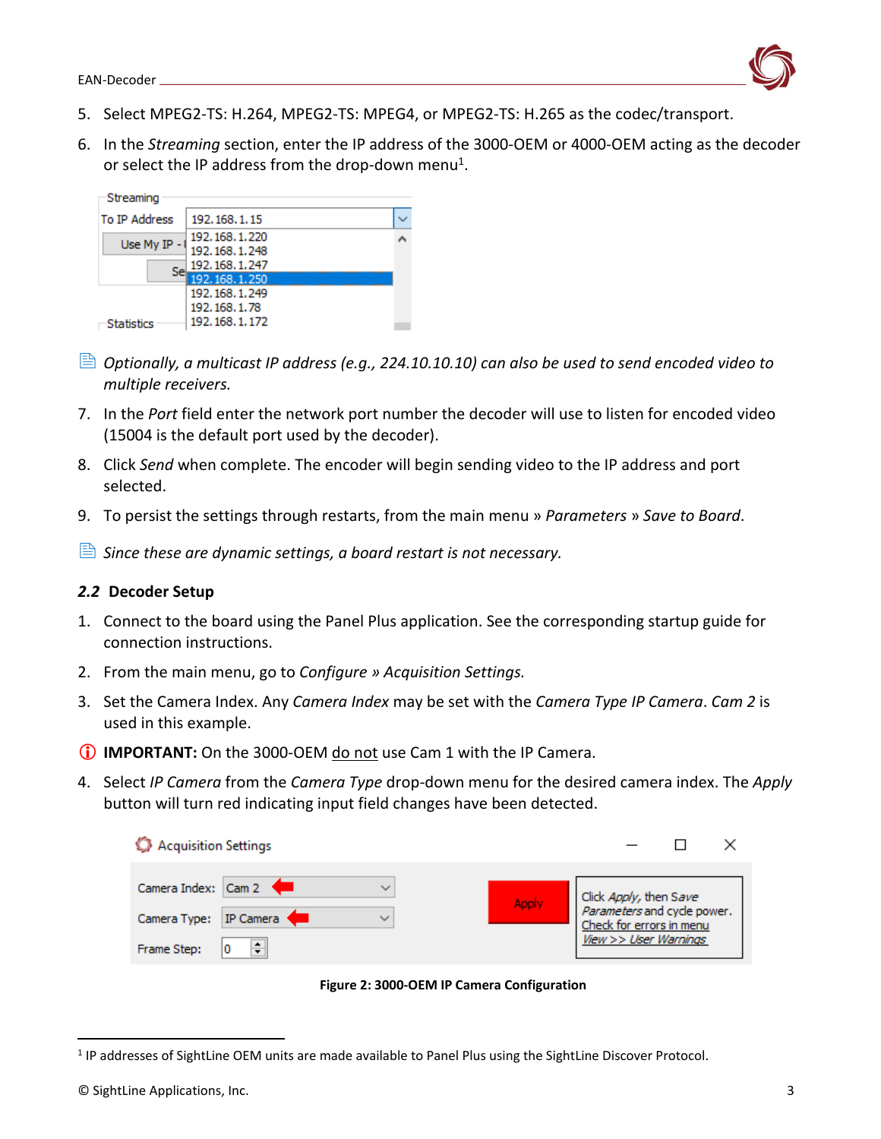

- 5. Select MPEG2-TS: H.264, MPEG2-TS: MPEG4, or MPEG2-TS: H.265 as the codec/transport.
- 6. In the *Streaming* section, enter the IP address of the 3000-OEM or 4000-OEM acting as the decoder or select the IP address from the drop-down menu<sup>1</sup>.

| Streaming            |                                                                    |  |
|----------------------|--------------------------------------------------------------------|--|
| <b>To IP Address</b> | 192.168.1.15                                                       |  |
| Use My IP -          | 192.168.1.220<br>192, 168, 1.248<br>192.168.1.247<br>192.168.1.250 |  |
| <b>Statistics</b>    | 192.168.1.249<br>192.168.1.78<br>192, 168, 1, 172                  |  |

- *Optionally, a multicast IP address (e.g., 224.10.10.10) can also be used to send encoded video to multiple receivers.*
- 7. In the *Port* field enter the network port number the decoder will use to listen for encoded video (15004 is the default port used by the decoder).
- 8. Click *Send* when complete. The encoder will begin sending video to the IP address and port selected.
- <span id="page-3-1"></span>9. To persist the settings through restarts, from the main menu » *Parameters* » *Save to Board*.
- *Since these are dynamic settings, a board restart is not necessary.*

#### <span id="page-3-0"></span>*2.2* **Decoder Setup**

- 1. Connect to the board using the Panel Plus application. See the corresponding startup guide for connection instructions.
- 2. From the main menu, go to *Configure » Acquisition Settings.*
- 3. Set the Camera Index. Any *Camera Index* may be set with the *Camera Type IP Camera*. *Cam 2* is used in this example.
- **IMPORTANT:** On the 3000-OEM do not use Cam 1 with the IP Camera.
- 4. Select *IP Camera* from the *Camera Type* drop-down menu for the desired camera index. The *Apply* button will turn red indicating input field changes have been detected.

| Acquisition Settings            |                                                         |  |
|---------------------------------|---------------------------------------------------------|--|
| Camera Index: Cam 2             | Click Apply, then Save                                  |  |
| Apply<br>Camera Type: IP Camera | Parameters and cycle power.<br>Check for errors in menu |  |
| Frame Step:                     | View >> User Warnings                                   |  |



<sup>&</sup>lt;sup>1</sup> IP addresses of SightLine OEM units are made available to Panel Plus using the SightLine Discover Protocol.

<sup>©</sup> SightLine Applications, Inc. 3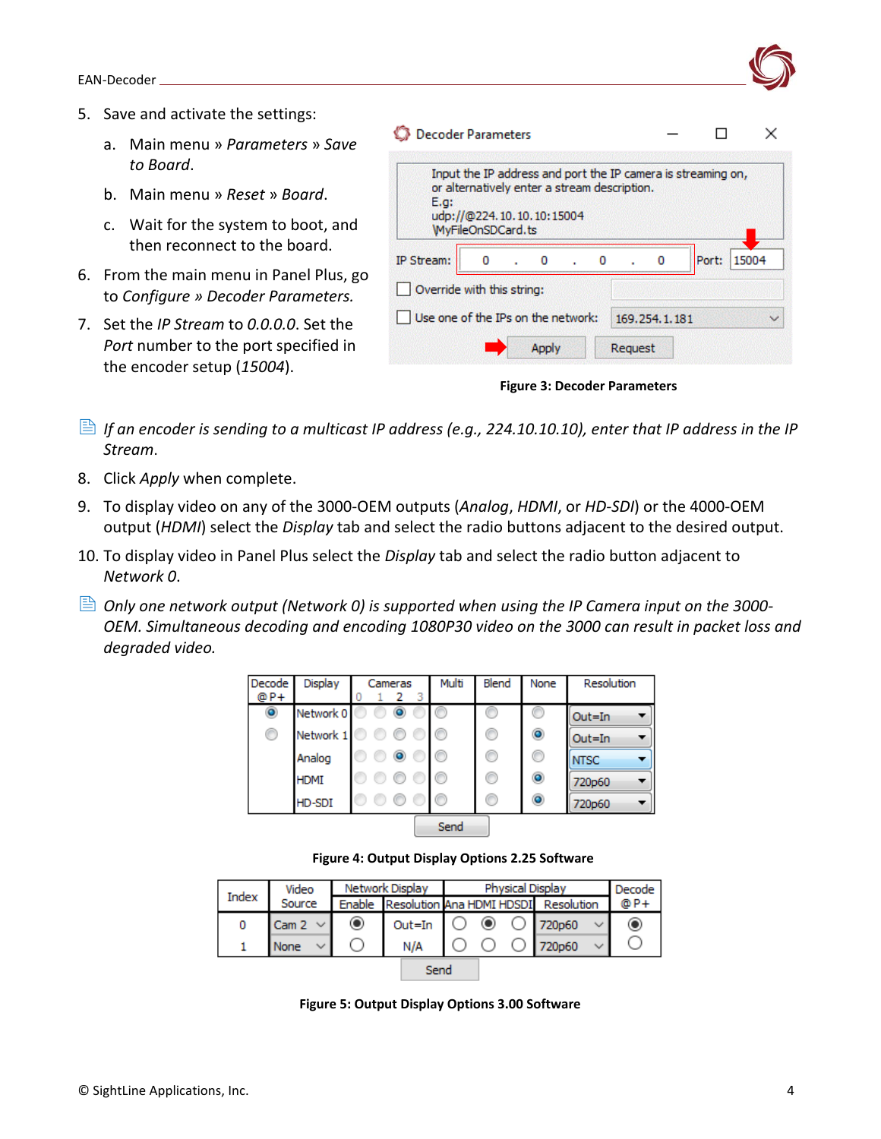- 5. Save and activate the settings:
	- a. Main menu » *Parameters* » *Save to Board*.
	- b. Main menu » *Reset* » *Board*.
	- c. Wait for the system to boot, and then reconnect to the board.
- 6. From the main menu in Panel Plus, go to *Configure » Decoder Parameters.*
- 7. Set the *IP Stream* to *0.0.0.0*. Set the *Port* number to the port specified in the encoder setup (*15004*).

| E.g.                       | Input the IP address and port the IP camera is streaming on,<br>or alternatively enter a stream description.<br>udp://@224.10.10.10:15004 |           |           |   |       |       |
|----------------------------|-------------------------------------------------------------------------------------------------------------------------------------------|-----------|-----------|---|-------|-------|
|                            | WyFileOnSDCard.ts                                                                                                                         |           |           |   |       |       |
| IP Stream:                 | o                                                                                                                                         | $\cdot$ 0 | $\cdot$ 0 | o | Port: | 15004 |
| Override with this string: |                                                                                                                                           |           |           |   |       |       |
|                            |                                                                                                                                           |           |           |   |       |       |

**Figure 3: Decoder Parameters**

- *If an encoder is sending to a multicast IP address (e.g., 224.10.10.10), enter that IP address in the IP Stream*.
- 8. Click *Apply* when complete.
- 9. To display video on any of the 3000-OEM outputs (*Analog*, *HDMI*, or *HD-SDI*) or the 4000-OEM output (*HDMI*) select the *Display* tab and select the radio buttons adjacent to the desired output.
- 10. To display video in Panel Plus select the *Display* tab and select the radio button adjacent to *Network 0*.
- *Only one network output (Network 0) is supported when using the IP Camera input on the 3000- OEM. Simultaneous decoding and encoding 1080P30 video on the 3000 can result in packet loss and degraded video.*



**Figure 4: Output Display Options 2.25 Software**

| Index | Video            | Network Display |                           | Physical Display |  |  |            | Decode i |
|-------|------------------|-----------------|---------------------------|------------------|--|--|------------|----------|
|       | Source           | Enable          | Resolution Ana HDMI HDSDI |                  |  |  | Resolution | @ P.     |
| 0     | Cam <sub>2</sub> | $\odot$         | Out=In                    |                  |  |  | 720p60     | $\circ$  |
|       | None             |                 | N/A                       |                  |  |  | 720p60     |          |
|       |                  |                 | Send                      |                  |  |  |            |          |

**Figure 5: Output Display Options 3.00 Software**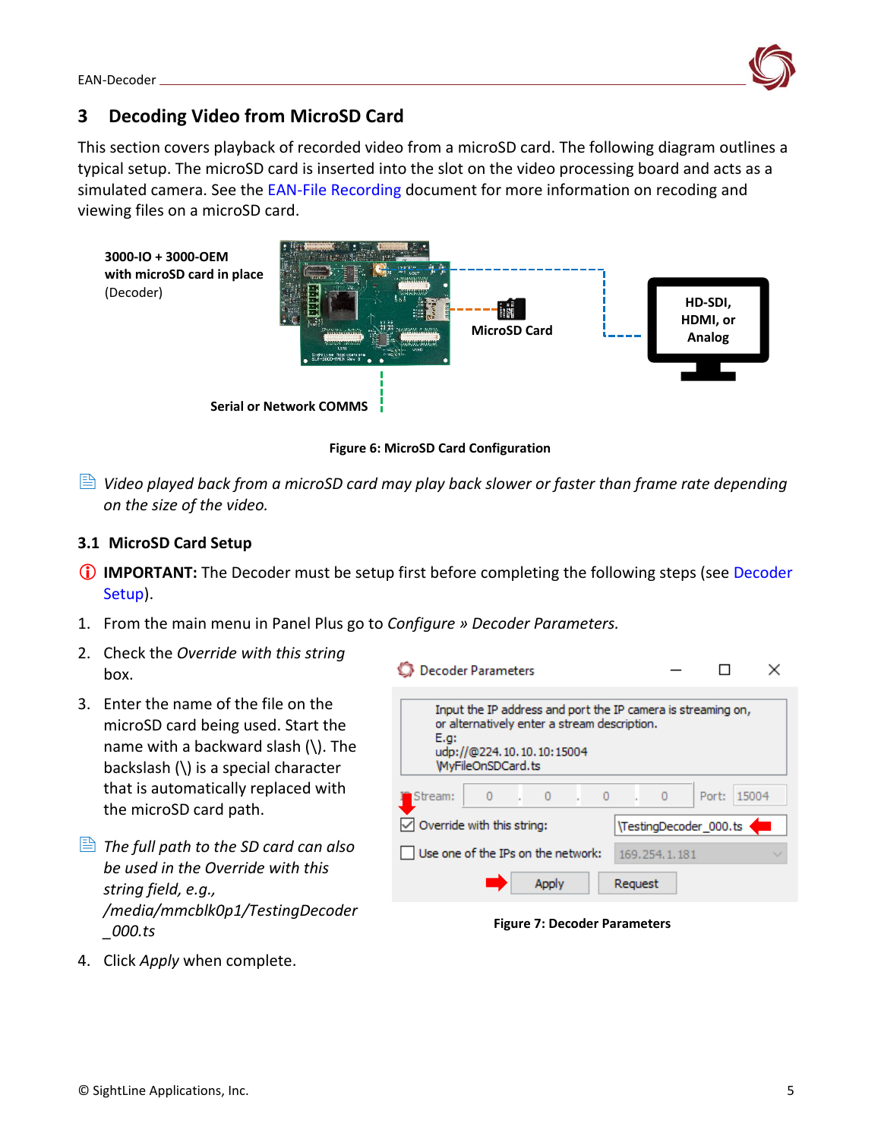

## <span id="page-5-0"></span>**3 Decoding Video from MicroSD Card**

This section covers playback of recorded video from a microSD card. The following diagram outlines a typical setup. The microSD card is inserted into the slot on the video processing board and acts as a simulated camera. See the [EAN-File Recording](http://sightlineapplications.com/wp-content/uploads/EAN-File-Recording.pdf) document for more information on recoding and viewing files on a microSD card.



**Figure 6: MicroSD Card Configuration**

 *Video played back from a microSD card may play back slower or faster than frame rate depending on the size of the video.* 

#### <span id="page-5-1"></span>**3.1 MicroSD Card Setup**

- **IMPORTANT:** The [Decoder](#page-3-1) must be setup first before completing the following steps (see Decoder [Setup\)](#page-3-1).
- 1. From the main menu in Panel Plus go to *Configure » Decoder Parameters.*
- 2. Check the *Override with this string*  box.
- 3. Enter the name of the file on the microSD card being used. Start the name with a backward slash  $\mathcal{N}$ . The backslash (\) is a special character that is automatically replaced with the microSD card path.
- *The full path to the SD card can also be used in the Override with this string field, e.g., /media/mmcblk0p1/TestingDecoder \_000.ts*





4. Click *Apply* when complete.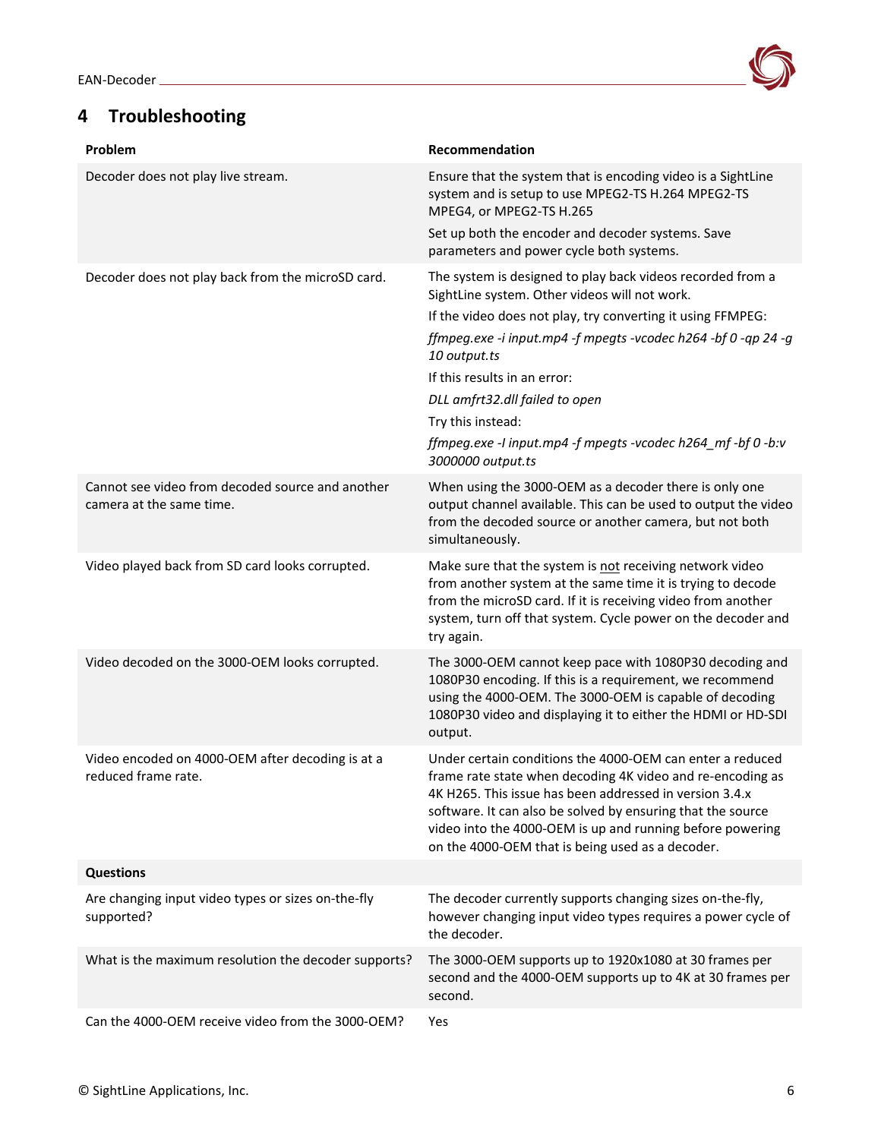## <span id="page-6-0"></span>**4 Troubleshooting**



| Problem                                                                      | Recommendation                                                                                                                                                                                                                                                                                                                                                     |
|------------------------------------------------------------------------------|--------------------------------------------------------------------------------------------------------------------------------------------------------------------------------------------------------------------------------------------------------------------------------------------------------------------------------------------------------------------|
| Decoder does not play live stream.                                           | Ensure that the system that is encoding video is a SightLine<br>system and is setup to use MPEG2-TS H.264 MPEG2-TS<br>MPEG4, or MPEG2-TS H.265                                                                                                                                                                                                                     |
|                                                                              | Set up both the encoder and decoder systems. Save<br>parameters and power cycle both systems.                                                                                                                                                                                                                                                                      |
| Decoder does not play back from the microSD card.                            | The system is designed to play back videos recorded from a<br>SightLine system. Other videos will not work.                                                                                                                                                                                                                                                        |
|                                                                              | If the video does not play, try converting it using FFMPEG:                                                                                                                                                                                                                                                                                                        |
|                                                                              | ffmpeg.exe -i input.mp4 -f mpegts -vcodec h264 -bf 0 -qp 24 -g<br>10 output.ts                                                                                                                                                                                                                                                                                     |
|                                                                              | If this results in an error:                                                                                                                                                                                                                                                                                                                                       |
|                                                                              | DLL amfrt32.dll failed to open                                                                                                                                                                                                                                                                                                                                     |
|                                                                              | Try this instead:                                                                                                                                                                                                                                                                                                                                                  |
|                                                                              | ffmpeg.exe -I input.mp4 -f mpegts -vcodec h264_mf -bf 0 -b:v<br>3000000 output.ts                                                                                                                                                                                                                                                                                  |
| Cannot see video from decoded source and another<br>camera at the same time. | When using the 3000-OEM as a decoder there is only one<br>output channel available. This can be used to output the video<br>from the decoded source or another camera, but not both<br>simultaneously.                                                                                                                                                             |
| Video played back from SD card looks corrupted.                              | Make sure that the system is not receiving network video<br>from another system at the same time it is trying to decode<br>from the microSD card. If it is receiving video from another<br>system, turn off that system. Cycle power on the decoder and<br>try again.                                                                                              |
| Video decoded on the 3000-OEM looks corrupted.                               | The 3000-OEM cannot keep pace with 1080P30 decoding and<br>1080P30 encoding. If this is a requirement, we recommend<br>using the 4000-OEM. The 3000-OEM is capable of decoding<br>1080P30 video and displaying it to either the HDMI or HD-SDI<br>output.                                                                                                          |
| Video encoded on 4000-OEM after decoding is at a<br>reduced frame rate.      | Under certain conditions the 4000-OEM can enter a reduced<br>frame rate state when decoding 4K video and re-encoding as<br>4K H265. This issue has been addressed in version 3.4.x<br>software. It can also be solved by ensuring that the source<br>video into the 4000-OEM is up and running before powering<br>on the 4000-OEM that is being used as a decoder. |
| <b>Questions</b>                                                             |                                                                                                                                                                                                                                                                                                                                                                    |
| Are changing input video types or sizes on-the-fly<br>supported?             | The decoder currently supports changing sizes on-the-fly,<br>however changing input video types requires a power cycle of<br>the decoder.                                                                                                                                                                                                                          |
| What is the maximum resolution the decoder supports?                         | The 3000-OEM supports up to 1920x1080 at 30 frames per<br>second and the 4000-OEM supports up to 4K at 30 frames per<br>second.                                                                                                                                                                                                                                    |
| Can the 4000-OEM receive video from the 3000-OEM?                            | Yes                                                                                                                                                                                                                                                                                                                                                                |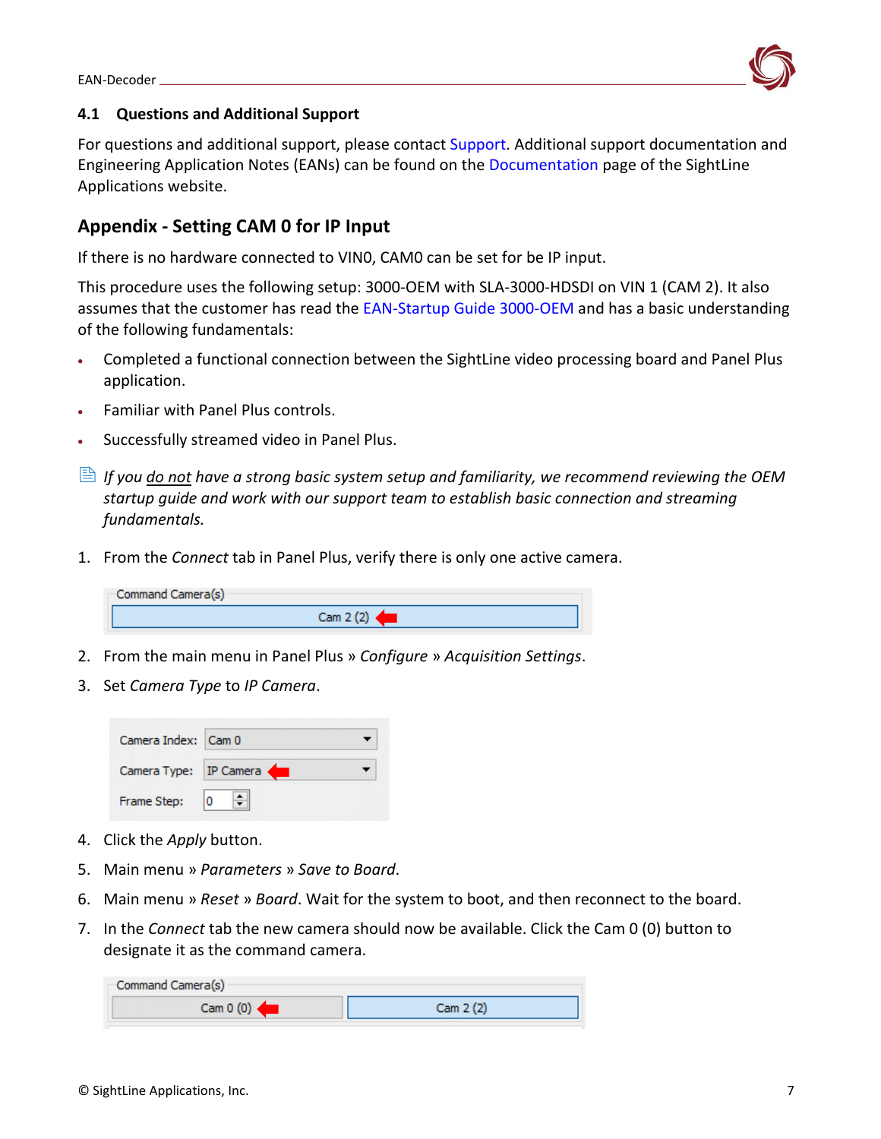

#### <span id="page-7-0"></span>**4.1 Questions and Additional Support**

For questions and additional support, please contact [Support.](mailto:support@sightlineapplications.com) Additional support documentation and Engineering Application Notes (EANs) can be found on the [Documentation](https://sightlineapplications.com/documentation/) page of the SightLine Applications website.

## <span id="page-7-1"></span>**Appendix - Setting CAM 0 for IP Input**

If there is no hardware connected to VIN0, CAM0 can be set for be IP input.

This procedure uses the following setup: 3000-OEM with SLA-3000-HDSDI on VIN 1 (CAM 2). It also assumes that the customer has read the [EAN-Startup Guide 3000-OEM](http://sightlineapplications.com/wp-content/uploads/EAN-Startup-Guide-3000-OEM.pdf) and has a basic understanding of the following fundamentals:

- Completed a functional connection between the SightLine video processing board and Panel Plus application.
- Familiar with Panel Plus controls.
- Successfully streamed video in Panel Plus.
- **If you <u>do not</u> have a strong basic system setup and familiarity, we recommend reviewing the OEM** *startup guide and work with our support team to establish basic connection and streaming fundamentals.*
- 1. From the *Connect* tab in Panel Plus, verify there is only one active camera.

| Command Camera(s) |          |  |
|-------------------|----------|--|
|                   | Cam 2(2) |  |

- 2. From the main menu in Panel Plus » *Configure* » *Acquisition Settings*.
- 3. Set *Camera Type* to *IP Camera*.



- 4. Click the *Apply* button.
- 5. Main menu » *Parameters* » *Save to Board*.
- 6. Main menu » *Reset* » *Board*. Wait for the system to boot, and then reconnect to the board.
- 7. In the *Connect* tab the new camera should now be available. Click the Cam 0 (0) button to designate it as the command camera.

| Command Camera(s) |         |  |  |  |
|-------------------|---------|--|--|--|
| .<br>Cam 0 (0)    | Cam 202 |  |  |  |